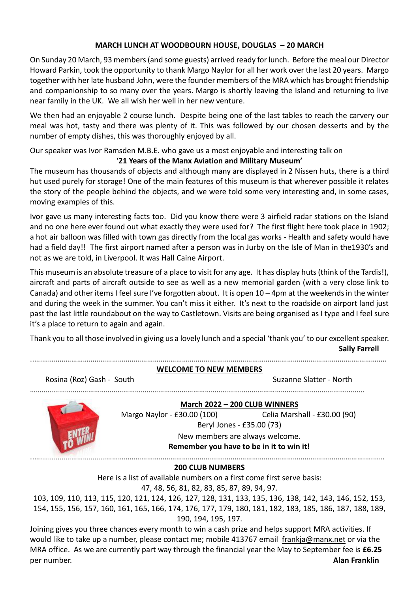## **MARCH LUNCH AT WOODBOURN HOUSE, DOUGLAS – 20 MARCH**

On Sunday 20 March, 93 members (and some guests) arrived ready for lunch. Before the meal our Director Howard Parkin, took the opportunity to thank Margo Naylor for all her work over the last 20 years. Margo together with her late husband John, were the founder members of the MRA which has brought friendship and companionship to so many over the years. Margo is shortly leaving the Island and returning to live near family in the UK. We all wish her well in her new venture.

We then had an enjoyable 2 course lunch. Despite being one of the last tables to reach the carvery our meal was hot, tasty and there was plenty of it. This was followed by our chosen desserts and by the number of empty dishes, this was thoroughly enjoyed by all.

Our speaker was Ivor Ramsden M.B.E. who gave us a most enjoyable and interesting talk on '**21 Years of the Manx Aviation and Military Museum'**

The museum has thousands of objects and although many are displayed in 2 Nissen huts, there is a third hut used purely for storage! One of the main features of this museum is that wherever possible it relates the story of the people behind the objects, and we were told some very interesting and, in some cases, moving examples of this.

Ivor gave us many interesting facts too. Did you know there were 3 airfield radar stations on the Island and no one here ever found out what exactly they were used for? The first flight here took place in 1902; a hot air balloon was filled with town gas directly from the local gas works - Health and safety would have had a field day!! The first airport named after a person was in Jurby on the Isle of Man in the1930's and not as we are told, in Liverpool. It was Hall Caine Airport.

This museum is an absolute treasure of a place to visit for any age. It has display huts (think of the Tardis!), aircraft and parts of aircraft outside to see as well as a new memorial garden (with a very close link to Canada) and other items I feel sure I've forgotten about. It is open 10 – 4pm at the weekends in the winter and during the week in the summer. You can't miss it either. It's next to the roadside on airport land just past the last little roundabout on the way to Castletown. Visits are being organised as I type and I feel sure it's a place to return to again and again.

Thank you to all those involved in giving us a lovely lunch and a special 'thank you' to our excellent speaker. **Sally Farrell**

|                           | <b>WELCOME TO NEW MEMBERS</b>                                          |                              |
|---------------------------|------------------------------------------------------------------------|------------------------------|
| Rosina (Roz) Gash - South |                                                                        | Suzanne Slatter - North      |
|                           | March 2022 - 200 CLUB WINNERS                                          |                              |
|                           | Margo Naylor - £30.00 (100)                                            | Celia Marshall - £30.00 (90) |
|                           | Beryl Jones - £35.00 (73)                                              |                              |
|                           | New members are always welcome.                                        |                              |
|                           | Remember you have to be in it to win it!                               |                              |
|                           |                                                                        |                              |
|                           | <b>200 CLUB NUMBERS</b>                                                |                              |
|                           | Here is a list of available numbers on a first come first serve basis: |                              |

47, 48, 56, 81, 82, 83, 85, 87, 89, 94, 97.

103, 109, 110, 113, 115, 120, 121, 124, 126, 127, 128, 131, 133, 135, 136, 138, 142, 143, 146, 152, 153, 154, 155, 156, 157, 160, 161, 165, 166, 174, 176, 177, 179, 180, 181, 182, 183, 185, 186, 187, 188, 189, 190, 194, 195, 197.

Joining gives you three chances every month to win a cash prize and helps support MRA activities. If would like to take up a number, please contact me; mobile 413767 email [frankja@manx.net](mailto:frankja@manx.net) or via the MRA office. As we are currently part way through the financial year the May to September fee is **£6.25** per number. **Alan Franklin**